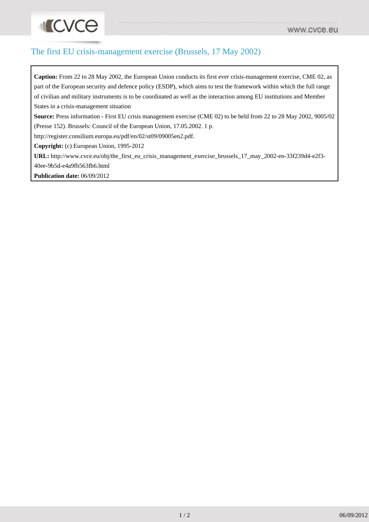## The first EU crisis-management exercise (Brussels, 17 May 2002)

**Caption:** From 22 to 28 May 2002, the European Union conducts its first ever crisis-management exercise, CME 02, as part of the European security and defence policy (ESDP), which aims to test the framework within which the full range of civilian and military instruments is to be coordinated as well as the interaction among EU institutions and Member States in a crisis-management situation

**Source:** Press information - First EU crisis management exercise (CME 02) to be held from 22 to 28 May 2002, 9005/02 (Presse 152). Brussels: Council of the European Union, 17.05.2002. 1 p.

http://register.consilium.europa.eu/pdf/en/02/st09/09005en2.pdf.

**Copyright:** (c) European Union, 1995-2012

**URL:** [http://www.cvce.eu/obj/the\\_first\\_eu\\_crisis\\_management\\_exercise\\_brussels\\_17\\_may\\_2002-en-33f239d4-e2f3-](http://www.cvce.eu/obj/the_first_eu_crisis_management_exercise_brussels_17_may_2002-en-33f239d4-e2f3-40ee-9b5d-e4a9fb563fb6.html) [40ee-9b5d-e4a9fb563fb6.html](http://www.cvce.eu/obj/the_first_eu_crisis_management_exercise_brussels_17_may_2002-en-33f239d4-e2f3-40ee-9b5d-e4a9fb563fb6.html)

**Publication date:** 06/09/2012

**INCACE**